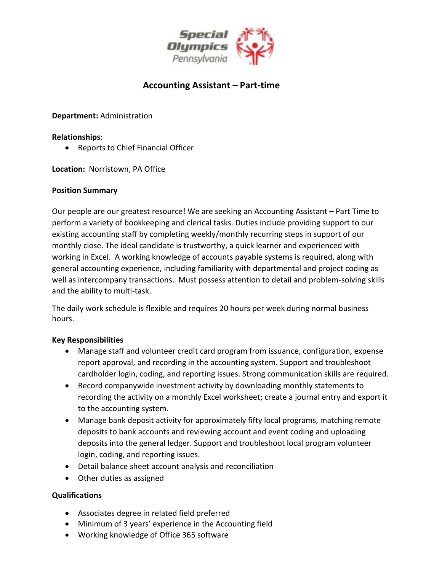

# **Accounting Assistant – Part-time**

**Department:** Administration

## **Relationships**:

• Reports to Chief Financial Officer

**Location:** Norristown, PA Office

## **Position Summary**

Our people are our greatest resource! We are seeking an Accounting Assistant – Part Time to perform a variety of bookkeeping and clerical tasks. Duties include providing support to our existing accounting staff by completing weekly/monthly recurring steps in support of our monthly close. The ideal candidate is trustworthy, a quick learner and experienced with working in Excel. A working knowledge of accounts payable systems is required, along with general accounting experience, including familiarity with departmental and project coding as well as intercompany transactions. Must possess attention to detail and problem-solving skills and the ability to multi-task.

The daily work schedule is flexible and requires 20 hours per week during normal business hours.

# **Key Responsibilities**

- Manage staff and volunteer credit card program from issuance, configuration, expense report approval, and recording in the accounting system. Support and troubleshoot cardholder login, coding, and reporting issues. Strong communication skills are required.
- Record companywide investment activity by downloading monthly statements to recording the activity on a monthly Excel worksheet; create a journal entry and export it to the accounting system.
- Manage bank deposit activity for approximately fifty local programs, matching remote deposits to bank accounts and reviewing account and event coding and uploading deposits into the general ledger. Support and troubleshoot local program volunteer login, coding, and reporting issues.
- Detail balance sheet account analysis and reconciliation
- Other duties as assigned

# **Qualifications**

- Associates degree in related field preferred
- Minimum of 3 years' experience in the Accounting field
- Working knowledge of Office 365 software